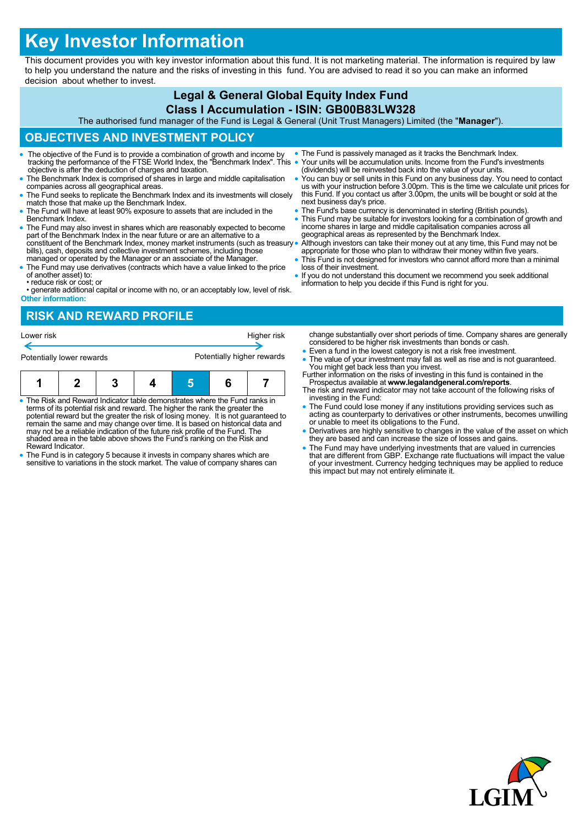# **Key Investor Information**

This document provides you with key investor information about this fund. It is not marketing material. The information is required by law to help you understand the nature and the risks of investing in this fund. You are advised to read it so you can make an informed decision about whether to invest.

#### **Legal & General Global Equity Index Fund Class I Accumulation - ISIN: GB00B83LW328**

The authorised fund manager of the Fund is Legal & General (Unit Trust Managers) Limited (the "**Manager**").

## **OBJECTIVES AND INVESTMENT POLICY**

- The objective of the Fund is to provide a combination of growth and income by tracking the performance of the FTSE World Index, the "Benchmark Index". This objective is after the deduction of charges and taxation.
- The Benchmark Index is comprised of shares in large and middle capitalisation companies across all geographical areas.
- The Fund seeks to replicate the Benchmark Index and its investments will closely match those that make up the Benchmark Index.
- The Fund will have at least 90% exposure to assets that are included in the Benchmark Index.
- The Fund may also invest in shares which are reasonably expected to become part of the Benchmark Index in the near future or are an alternative to a constituent of the Benchmark Index, money market instruments (such as treasury bills), cash, deposits and collective investment schemes, including those managed or operated by the Manager or an associate of the Manager.
- The Fund may use derivatives (contracts which have a value linked to the price of another asset) to:
- reduce risk or cost; or
- generate additional capital or income with no, or an acceptably low, level of risk. **Other information:**

### **RISK AND REWARD PROFILE**

| Lower risk                                                                 |  |                                                                             |  | Higher risk                |  |  | change substantially over short perio<br>considered to be higher risk investment                                         |
|----------------------------------------------------------------------------|--|-----------------------------------------------------------------------------|--|----------------------------|--|--|--------------------------------------------------------------------------------------------------------------------------|
| Potentially lower rewards                                                  |  |                                                                             |  | Potentially higher rewards |  |  | • Even a fund in the lowest category is<br>• The value of your investment may fa<br>You might get back less than you inv |
|                                                                            |  |                                                                             |  |                            |  |  | Further information on the risks of inve<br>Prospectus available at www.legala<br>The risk and reward indicator may not  |
| • The Risk and Reward Indicator table demonstrates where the Fund ranks in |  | terms of its notential risk and reward. The higher the rank the greater the |  |                            |  |  | investing in the Fund:<br>• The Fund could lose money if any in                                                          |

- terms of its potential risk and reward. The higher the rank the greater the potential reward but the greater the risk of losing money. It is not guaranteed to remain the same and may change over time. It is based on historical data and may not be a reliable indication of the future risk profile of the Fund. The shaded area in the table above shows the Fund's ranking on the Risk and Reward Indicator.
- The Fund is in category 5 because it invests in company shares which are sensitive to variations in the stock market. The value of company shares can
- The Fund is passively managed as it tracks the Benchmark Index. Your units will be accumulation units. Income from the Fund's investments (dividends) will be reinvested back into the value of your units.
- You can buy or sell units in this Fund on any business day. You need to contact us with your instruction before 3.00pm. This is the time we calculate unit prices for this Fund. If you contact us after 3.00pm, the units will be bought or sold at the next business day's price.
- The Fund's base currency is denominated in sterling (British pounds).
- This Fund may be suitable for investors looking for a combination of growth and income shares in large and middle capitalisation companies across all geographical areas as represented by the Benchmark Index.

 Although investors can take their money out at any time, this Fund may not be appropriate for those who plan to withdraw their money within five years. This Fund is not designed for investors who cannot afford more than a minimal

- loss of their investment.
- If you do not understand this document we recommend you seek additional information to help you decide if this Fund is right for you.

ds of time. Company shares are generally ents than bonds or cash

- s not a risk free investment.
- ill as well as rise and is not guaranteed.<br>vest You might get back less than you invest. Further in this fund is contained in the
- Prospectus available at **www.legalandgeneral.com/reports**. take account of the following risks of
- The Fund could lose money if any institutions providing services such as acting as counterparty to derivatives or other instruments, becomes unwilling or unable to meet its obligations to the Fund.
- Derivatives are highly sensitive to changes in the value of the asset on which they are based and can increase the size of losses and gains.
- The Fund may have underlying investments that are valued in currencies<br>that are different from GBP. Exchange rate fluctuations will impact the value<br>of your investment. Currency hedging techniques may be applied to reduc